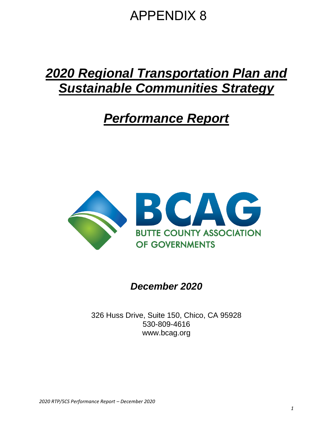## APPENDIX 8

# *2020 Regional Transportation Plan and Sustainable Communities Strategy*

## *Performance Report*



*December 2020*

326 Huss Drive, Suite 150, Chico, CA 95928 530-809-4616 www.bcag.org

*2020 RTP/SCS Performance Report – December 2020*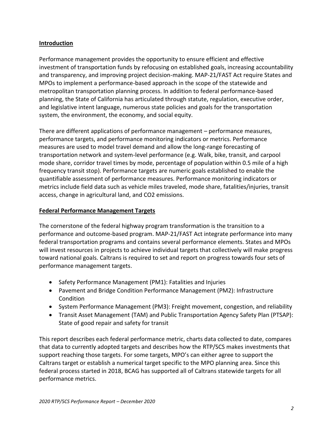## **Introduction**

Performance management provides the opportunity to ensure efficient and effective investment of transportation funds by refocusing on established goals, increasing accountability and transparency, and improving project decision-making. MAP-21/FAST Act require States and MPOs to implement a performance-based approach in the scope of the statewide and metropolitan transportation planning process. In addition to federal performance-based planning, the State of California has articulated through statute, regulation, executive order, and legislative intent language, numerous state policies and goals for the transportation system, the environment, the economy, and social equity.

There are different applications of performance management – performance measures, performance targets, and performance monitoring indicators or metrics. Performance measures are used to model travel demand and allow the long-range forecasting of transportation network and system-level performance (e.g. Walk, bike, transit, and carpool mode share, corridor travel times by mode, percentage of population within 0.5 mile of a high frequency transit stop). Performance targets are numeric goals established to enable the quantifiable assessment of performance measures. Performance monitoring indicators or metrics include field data such as vehicle miles traveled, mode share, fatalities/injuries, transit access, change in agricultural land, and CO2 emissions.

### **Federal Performance Management Targets**

The cornerstone of the federal highway program transformation is the transition to a performance and outcome-based program. MAP-21/FAST Act integrate performance into many federal transportation programs and contains several performance elements. States and MPOs will invest resources in projects to achieve individual targets that collectively will make progress toward national goals. Caltrans is required to set and report on progress towards four sets of performance management targets.

- Safety Performance Management (PM1): Fatalities and Injuries
- Pavement and Bridge Condition Performance Management (PM2): Infrastructure Condition
- System Performance Management (PM3): Freight movement, congestion, and reliability
- Transit Asset Management (TAM) and Public Transportation Agency Safety Plan (PTSAP): State of good repair and safety for transit

This report describes each federal performance metric, charts data collected to date, compares that data to currently adopted targets and describes how the RTP/SCS makes investments that support reaching those targets. For some targets, MPO's can either agree to support the Caltrans target or establish a numerical target specific to the MPO planning area. Since this federal process started in 2018, BCAG has supported all of Caltrans statewide targets for all performance metrics.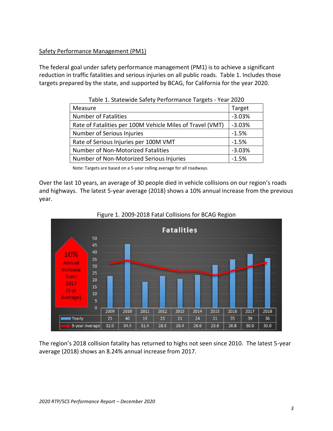## Safety Performance Management (PM1)

The federal goal under safety performance management (PM1) is to achieve a significant reduction in traffic fatalities and serious injuries on all public roads. Table 1. Includes those targets prepared by the state, and supported by BCAG, for California for the year 2020.

| Measure                                                   | Target   |
|-----------------------------------------------------------|----------|
| <b>Number of Fatalities</b>                               | $-3.03%$ |
| Rate of Fatalities per 100M Vehicle Miles of Travel (VMT) | $-3.03%$ |
| Number of Serious Injuries                                | $-1.5%$  |
| Rate of Serious Injuries per 100M VMT                     | $-1.5%$  |
| Number of Non-Motorized Fatalities                        | $-3.03%$ |
| Number of Non-Motorized Serious Injuries                  | $-1.5%$  |

Table 1. Statewide Safety Performance Targets - Year 2020

Note: Targets are based on a 5-year rolling average for all roadways.

Over the last 10 years, an average of 30 people died in vehicle collisions on our region's roads and highways. The latest 5-year average (2018) shows a 10% annual increase from the previous year.



Figure 1. 2009-2018 Fatal Collisions for BCAG Region

The region's 2018 collision fatality has returned to highs not seen since 2010. The latest 5-year average (2018) shows an 8.24% annual increase from 2017.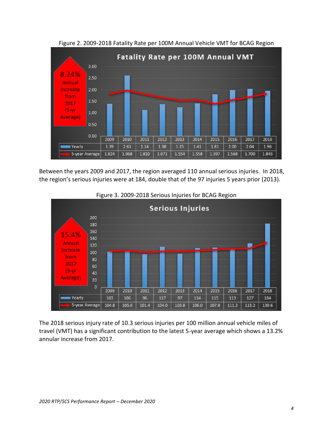

Figure 2. 2009-2018 Fatality Rate per 100M Annual Vehicle VMT for BCAG Region

Between the years 2009 and 2017, the region averaged 110 annual serious injuries. In 2018, the region's serious injuries were at 184, double that of the 97 injuries 5 years prior (2013).



Figure 3. 2009-2018 Serious Injuries for BCAG Region

The 2018 serious injury rate of 10.3 serious injuries per 100 million annual vehicle miles of travel (VMT) has a significant contribution to the latest 5-year average which shows a 13.2% annular increase from 2017.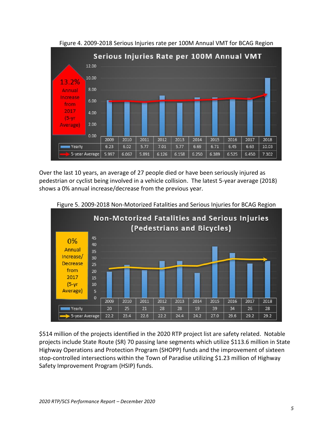

Figure 4. 2009-2018 Serious Injuries rate per 100M Annual VMT for BCAG Region

Over the last 10 years, an average of 27 people died or have been seriously injured as pedestrian or cyclist being involved in a vehicle collision. The latest 5-year average (2018) shows a 0% annual increase/decrease from the previous year.



Figure 5. 2009-2018 Non-Motorized Fatalities and Serious Injuries for BCAG Region

\$514 million of the projects identified in the 2020 RTP project list are safety related. Notable projects include State Route (SR) 70 passing lane segments which utilize \$113.6 million in State Highway Operations and Protection Program (SHOPP) funds and the improvement of sixteen stop-controlled intersections within the Town of Paradise utilizing \$1.23 million of Highway Safety Improvement Program (HSIP) funds.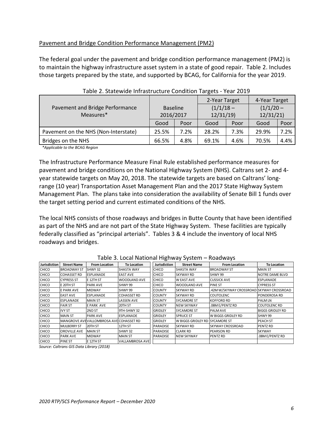### Pavement and Bridge Condition Performance Management (PM2)

The federal goal under the pavement and bridge condition performance management (PM2) is to maintain the highway infrastructure asset system in a state of good repair. Table 2. Includes those targets prepared by the state, and supported by BCAG, for California for the year 2019.

|                                      |                 |      | 2-Year Target |      | 4-Year Target |      |  |
|--------------------------------------|-----------------|------|---------------|------|---------------|------|--|
| Pavement and Bridge Performance      | <b>Baseline</b> |      | $(1/1/18 -$   |      | $(1/1/20 -$   |      |  |
| Measures*                            | 2016/2017       |      | 12/31/19      |      | 12/31/21      |      |  |
|                                      | Good            | Poor | Good          | Poor | Good          | Poor |  |
| Pavement on the NHS (Non-Interstate) | 25.5%           | 7.2% | 28.2%         | 7.3% | 29.9%         | 7.2% |  |
| Bridges on the NHS                   | 66.5%           | 4.8% | 69.1%         | 4.6% | 70.5%         | 4.4% |  |

| Table 2. Statewide Infrastructure Condition Targets - Year 2019 |  |  |  |
|-----------------------------------------------------------------|--|--|--|
|-----------------------------------------------------------------|--|--|--|

 *\*Applicable to the BCAG Region*

The Infrastructure Performance Measure Final Rule established performance measures for pavement and bridge conditions on the National Highway System (NHS). Caltrans set 2- and 4 year statewide targets on May 20, 2018. The statewide targets are based on Caltrans' longrange (10 year) Transportation Asset Management Plan and the 2017 State Highway System Management Plan. The plans take into consideration the availability of Senate Bill 1 funds over the target setting period and current estimated conditions of the NHS.

The local NHS consists of those roadways and bridges in Butte County that have been identified as part of the NHS and are not part of the State Highway System. These facilities are typically federally classified as "principal arterials". Tables 3 & 4 include the inventory of local NHS roadways and bridges.

| <b>Jurisdiction</b> | <b>Street Name</b> | <b>From Location</b>                    | <b>To Location</b>     | Jurisdiction    | <b>Street Name</b>  | <b>From Location</b>                     | <b>To Location</b>      |
|---------------------|--------------------|-----------------------------------------|------------------------|-----------------|---------------------|------------------------------------------|-------------------------|
| <b>CHICO</b>        | <b>BROADWAY ST</b> | SHWY 32                                 | <b>SHASTA WAY</b>      | <b>CHICO</b>    | <b>SHASTA WAY</b>   | <b>BROADWAY ST</b>                       | <b>MAIN ST</b>          |
| <b>CHICO</b>        | <b>COHASSET RD</b> | <b>IESPLANADE</b>                       | <b>EAST AVE</b>        | <b>CHICO</b>    | SKYWAY RD           | SHWY 99                                  | NOTRE DAME BLVD         |
| <b>CHICO</b>        | <b>CYPRESS ST</b>  | E 12TH ST                               | <b>WOODLAND AVE</b>    | <b>CHICO</b>    | <b>W EAST AVE</b>   | <b>CUSSICK AVE</b>                       | <b>ESPLANADE</b>        |
| <b>CHICO</b>        | E 20TH ST          | <b>PARK AVE</b>                         | SHWY 99                | <b>CHICO</b>    | <b>WOODLAND AVE</b> | PINE ST                                  | <b>CYPRESS ST</b>       |
| <b>CHICO</b>        | E PARK AVE         | <b>MIDWAY</b>                           | SHWY 99                | <b>COUNTY</b>   | SKYWAY RD           | .42M W/SKYWAY CROSSROAD SKYWAY CROSSROAD |                         |
| <b>CHICO</b>        | <b>EAST AVE</b>    | <b>ESPLANADE</b>                        | <b>COHASSET RD</b>     | <b>COUNTY</b>   | SKYWAY RD           | <b>COUTOLENC</b>                         | <b>PONDEROSA RD</b>     |
| <b>CHICO</b>        | ESPLANADE          | <b>MAIN ST</b>                          | LASSEN AVE             | <b>COUNTY</b>   | <b>SYCAMORE ST</b>  | <b>KOFFORD RD</b>                        | <b>PALM LN</b>          |
| <b>CHICO</b>        | <b>FAIR ST</b>     | <b>EPARK AVE</b>                        | 20TH ST                | <b>COUNTY</b>   | <b>NEW SKYWAY</b>   | .08M E/PENTZ RD                          | <b>COUTOLENC RD</b>     |
| <b>CHICO</b>        | <b>IVY ST</b>      | 2ND ST                                  | 9TH-SHWY 32            | <b>GRIDLEY</b>  | <b>SYCAMORE ST</b>  | <b>PALMAVE</b>                           | <b>BIGGS GRIDLEY RD</b> |
| <b>CHICO</b>        | <b>MAIN ST</b>     | <b>PARK AVE</b>                         | <b>ESPLANADE</b>       | <b>GRIDLEY</b>  | <b>SPRUCE ST</b>    | W BIGGS GRIDLEY RD                       | SHWY 99                 |
| <b>CHICO</b>        |                    | MANGROVE AVEVALLOMBROSA AVEICOHASSET RD |                        | <b>GRIDLEY</b>  | W BIGGS GRIDLEY RD  | <b>SYCAMORE ST</b>                       | PEACH ST                |
| <b>CHICO</b>        | <b>MULBERRY ST</b> | 20TH ST                                 | 12TH ST                | PARADISE        | SKYWAY RD           | SKYWAY CROSSROAD                         | PENTZ RD                |
| <b>CHICO</b>        | OROVILLE AVE       | <b>MAIN ST</b>                          | SHWY 32                | <b>PARADISE</b> | <b>CLARK RD</b>     | <b>PEARSON RD</b>                        | <b>SKYWAY</b>           |
| <b>CHICO</b>        | <b>PARK AVE</b>    | <b>MIDWAY</b>                           | <b>MAIN ST</b>         | <b>PARADISE</b> | <b>NEW SKYWAY</b>   | <b>PENTZ RD</b>                          | .08M E/PENTZ RD         |
| <b>CHICO</b>        | <b>PINE ST</b>     | E 12TH ST                               | <b>VALLAMBROSA AVE</b> |                 |                     |                                          |                         |

Table 3. Local National Highway System – Roadways

*Source: Caltrans GIS Data Library (2018)*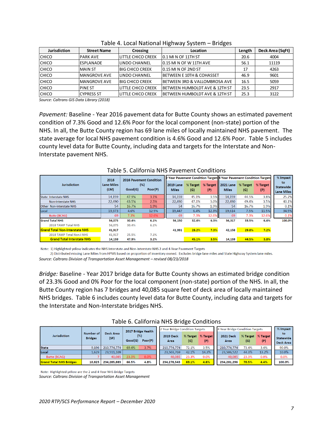| Jurisdiction | <b>Street Name</b>  | Crossing                  | Location                                   | Length | Deck Area (SqFt) |
|--------------|---------------------|---------------------------|--------------------------------------------|--------|------------------|
| <b>CHICO</b> | IPARK AVE           | LITTLE CHICO CREEK        | 10.1 MI N OF 11TH ST                       | 20.6   | 4004             |
| <b>CHICO</b> | <b>ESPLANADE</b>    | LINDO CHANNEL             | 0.15 MI N OF W 11TH AVE                    | 56.1   | 11119            |
| <b>CHICO</b> | <b>MAIN ST</b>      | <b>BIG CHICO CREEK</b>    | 0.15 MI N OF 2ND ST                        | 17     | 4263             |
| <b>CHICO</b> | <b>MANGROVE AVE</b> | LINDO CHANNEL             | <b>IBETWEEN E 10TH &amp; COHASSET</b>      | 46.9   | 9601             |
| <b>CHICO</b> | <b>MANGROVE AVE</b> | <b>BIG CHICO CREEK</b>    | <b>IBETWEEN 3RD &amp; VALLOMBROSA AVE</b>  | 16.5   | 5059             |
| <b>CHICO</b> | <b>PINE ST</b>      | LITTLE CHICO CREEK        | BETWEEN HUMBOLDT AVE & 12TH ST             | 23.5   | 2917             |
| <b>CHICO</b> | ICYPRESS ST         | <b>LITTLE CHICO CREEK</b> | <b>IBETWEEN HUMBOLDT AVE &amp; 12TH ST</b> | 25.3   | 3122             |

| Table 4. Local National Highway System – Bridges |  |  |  |
|--------------------------------------------------|--|--|--|
|--------------------------------------------------|--|--|--|

*Source: Caltrans GIS Data Library (2018)*

*Pavement:* Baseline - Year 2016 pavement data for Butte County shows an estimated pavement condition of 7.3% Good and 12.6% Poor for the local component (non-state) portion of the NHS. In all, the Butte County region has 69 lane miles of locally maintained NHS pavement. The state average for local NHS pavement condition is 4.6% Good and 12.6% Poor. Table 5 includes county level data for Butte County, including data and targets for the Interstate and Non-Interstate pavement NHS.

|                                       | 2016                      |         | <b>2016 Pavement Condition</b> | P Year Pavement Condition Targets 4 Year Pavement Condition Targets |                 |                 |                                       |                 |                 | % Impact                                    |
|---------------------------------------|---------------------------|---------|--------------------------------|---------------------------------------------------------------------|-----------------|-----------------|---------------------------------------|-----------------|-----------------|---------------------------------------------|
| <b>Jurisdiction</b>                   | <b>Lane Miles</b><br>(LM) | Good(G) | (% )<br>Poor(P)                | <b>2019 Lane</b><br><b>Miles</b>                                    | % Target<br>(G) | % Target<br>(P) | $\parallel$ 2021 Lane<br><b>Miles</b> | % Target<br>(G) | % Target<br>(P) | to<br><b>Statewide</b><br><b>Lane Miles</b> |
| <b>State Interstate NHS</b>           | 14,159                    | 47.9%   | 3.1%                           | 14,159                                                              | 45.1%           | 3.5%            | 14,159                                | 44.5%           | 3.8%            | 25.2%                                       |
| <b>Non-Interstate NHS</b>             | 22,490                    | 43.5%   | 2.5%                           | 22,490                                                              | 47.1%           | 3.0%            | 22,490                                | 49.4%           | 3.5%            | 40.1%                                       |
| <b>Other Non-Interstate NHS</b>       | 54                        | 16.7%   | 1.9%                           | 54                                                                  | 16.7%           | 1.9%            | 54                                    | 16.7%           | 1.9%            | 0.1%                                        |
| Local                                 | 19,373                    | 4.6%    | 12.5%                          | 19,447                                                              | 6.4%            | 12.3%           | 19,614                                | 7.5%            | 11.5%           | 34.5%                                       |
| <b>Butte (BCAG)</b>                   | 69                        | 7.3%    | 12.6%                          | 69                                                                  | 7.3%            | 12.6%           | 69                                    | 7.3%            | 12.6%           | 0.1%                                        |
| <b>Grand Total NHS</b>                | 56,075                    | 30.4%   | 6.1%                           | 56,150                                                              | 32.4%           | 6.3%            | 56,317                                | 33.5%           | 6.4%            | 100.0%                                      |
| <b>2018 TAMP Total NHS</b>            | 56.075                    | 30.4%   | 6.1%                           |                                                                     |                 |                 |                                       |                 |                 |                                             |
| <b>Grand Total Non-Interstate NHS</b> | 41,917                    |         |                                | 41.991                                                              | 28.2%           | 7.3%            | 42.158                                | 29.8%           | 7.2%            |                                             |
| 2018 TAMP Total Non-I NHS             | 41.917                    | 25.5%   | 7.1%                           |                                                                     |                 |                 |                                       |                 |                 |                                             |
| <b>Grand Total Interstate NHS</b>     | 14.159                    | 47.9%   | 3.1%                           |                                                                     | 45.1%           | 3.5%            | 14.159                                | 44.5%           | 3.8%            |                                             |

#### Table 5. California NHS Pavement Conditions

Note: 1) Highlighted yellow indicates the NHS Interstate and Non-Interstate NHS 2 and 4-Year Pavement Targets

2) Distributed missing Lane Miles from HPMS based on proportion of inventory owned. Excludes bridge lane miles and State Highway System lane miles.

*Source: Caltrans Division of Transportation Asset Management – revised 08/23/2018*

*Bridge:* Baseline - Year 2017 bridge data for Butte County shows an estimated bridge condition of 23.3% Good and 0% Poor for the local component (non-state) portion of the NHS. In all, the Butte County region has 7 bridges and 40,085 square feet of deck area of locally maintained NHS bridges. Table 6 includes county level data for Butte County, including data and targets for the Interstate and Non-Interstate bridges NHS.

|                                |                                    | 2017 Bridge Health |                 |         | 2 Year Bridge Condition Targets |       |                          | 4 Year Bridge Condition Targets |       |                          | % Impact                            |
|--------------------------------|------------------------------------|--------------------|-----------------|---------|---------------------------------|-------|--------------------------|---------------------------------|-------|--------------------------|-------------------------------------|
| <b>Jurisdiction</b>            | <b>Number of</b><br><b>Bridges</b> | Deck Area<br>(SF)  | (% )<br>Good(G) | Poor(P) | <b>2019 Deck</b><br>Area        | (G)   | % Target % Target<br>(P) | <b>2021 Deck</b><br>Area        | (G)   | % Target % Target<br>(P) | to<br><b>Statewide</b><br>Deck Area |
| <b>State</b>                   | 9.196                              | 210.774.774        | 69.4%           | 3.7%    | 210.774.774                     | 72.1% | 3.5%                     | 210.774.774                     | 73.4% | 3.4%                     | 90.0%                               |
| Local                          | 4.629                              | 23.511.109         |                 |         | 23,503,769                      | 42.1% | 14.3%                    | 23.506.522                      | 44.3% | 13.2%                    | 10.0%                               |
| Butte (BCAG)                   |                                    | 40.085             | 23.3%           | 0.0%    | 40.085                          | 23.3% | 0.0%                     | 40.085                          | 23.3% | 0.0%                     | 0.0%                                |
| <b>Grand Total NHS Bridges</b> | 10.825                             | 234,285,883        | 66.5%           | 4.8%    | 234,278,543                     | 69.1% | 4.6%                     | 234,281,296                     | 70.5% | 4.4%                     | 100.0%                              |

Table 6. California NHS Bridge Conditions

Note: Highlighted yellow are the 2 and 4-Year NHS Bridge Targets *Source: Caltrans Division of Transportation Asset Management*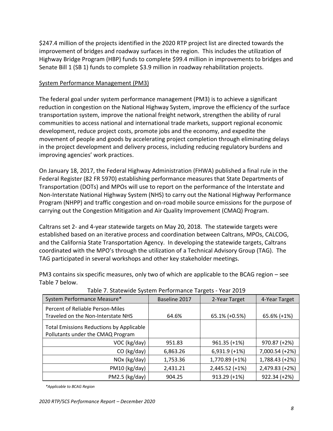\$247.4 million of the projects identified in the 2020 RTP project list are directed towards the improvement of bridges and roadway surfaces in the region. This includes the utilization of Highway Bridge Program (HBP) funds to complete \$99.4 million in improvements to bridges and Senate Bill 1 (SB 1) funds to complete \$3.9 million in roadway rehabilitation projects.

### System Performance Management (PM3)

The federal goal under system performance management (PM3) is to achieve a significant reduction in congestion on the National Highway System, improve the efficiency of the surface transportation system, improve the national freight network, strengthen the ability of rural communities to access national and international trade markets, support regional economic development, reduce project costs, promote jobs and the economy, and expedite the movement of people and goods by accelerating project completion through eliminating delays in the project development and delivery process, including reducing regulatory burdens and improving agencies' work practices.

On January 18, 2017, the Federal Highway Administration (FHWA) published a final rule in the Federal Register (82 FR 5970) establishing performance measures that State Departments of Transportation (DOTs) and MPOs will use to report on the performance of the Interstate and Non-Interstate National Highway System (NHS) to carry out the National Highway Performance Program (NHPP) and traffic congestion and on-road mobile source emissions for the purpose of carrying out the Congestion Mitigation and Air Quality Improvement (CMAQ) Program.

Caltrans set 2- and 4-year statewide targets on May 20, 2018. The statewide targets were established based on an iterative process and coordination between Caltrans, MPOs, CALCOG, and the California State Transportation Agency. In developing the statewide targets, Caltrans coordinated with the MPO's through the utilization of a Technical Advisory Group (TAG). The TAG participated in several workshops and other key stakeholder meetings.

| Table 7. Statewide System Ferrormance Targets Tear 2015                              |               |                  |                |  |  |  |  |  |
|--------------------------------------------------------------------------------------|---------------|------------------|----------------|--|--|--|--|--|
| System Performance Measure*                                                          | Baseline 2017 | 2-Year Target    | 4-Year Target  |  |  |  |  |  |
| Percent of Reliable Person-Miles                                                     |               |                  |                |  |  |  |  |  |
| Traveled on the Non-Interstate NHS                                                   | 64.6%         | 65.1% (+0.5%)    | 65.6% (+1%)    |  |  |  |  |  |
| <b>Total Emissions Reductions by Applicable</b><br>Pollutants under the CMAQ Program |               |                  |                |  |  |  |  |  |
| VOC (kg/day)                                                                         | 951.83        | $961.35 (+1%)$   | 970.87 (+2%)   |  |  |  |  |  |
| CO (kg/day)                                                                          | 6,863.26      | $6,931.9$ (+1%)  | 7,000.54 (+2%) |  |  |  |  |  |
| NOx (kg/day)                                                                         | 1,753.36      | 1,770.89 (+1%)   | 1,788.43 (+2%) |  |  |  |  |  |
| PM10 (kg/day)                                                                        | 2,431.21      | $2,445.52 (+1%)$ | 2,479.83 (+2%) |  |  |  |  |  |
| PM2.5 (kg/day)                                                                       | 904.25        | $913.29 (+1%)$   | $922.34 (+2%)$ |  |  |  |  |  |

PM3 contains six specific measures, only two of which are applicable to the BCAG region – see Table 7 below.

Table 7. Statewide System Performance Targets - Year 2019

*\*Applicable to BCAG Region*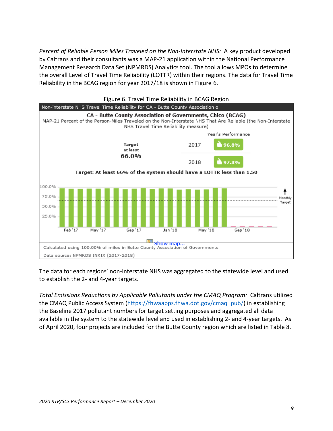*Percent of Reliable Person Miles Traveled on the Non-Interstate NHS:* A key product developed by Caltrans and their consultants was a MAP-21 application within the National Performance Management Research Data Set (NPMRDS) Analytics tool. The tool allows MPOs to determine the overall Level of Travel Time Reliability (LOTTR) within their regions. The data for Travel Time Reliability in the BCAG region for year 2017/18 is shown in Figure 6.



The data for each regions' non-interstate NHS was aggregated to the statewide level and used to establish the 2- and 4-year targets.

*Total Emissions Reductions by Applicable Pollutants under the CMAQ Program:* Caltrans utilized the CMAQ Public Access System [\(https://fhwaapps.fhwa.dot.gov/cmaq\\_pub/\)](https://fhwaapps.fhwa.dot.gov/cmaq_pub/) in establishing the Baseline 2017 pollutant numbers for target setting purposes and aggregated all data available in the system to the statewide level and used in establishing 2- and 4-year targets. As of April 2020, four projects are included for the Butte County region which are listed in Table 8.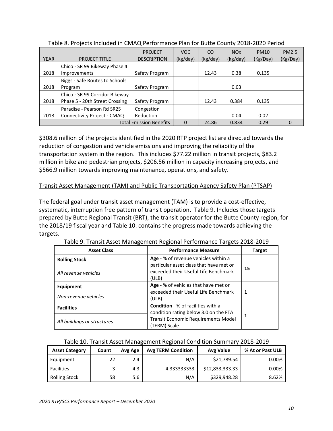|             |                                | <b>PROJECT</b>                 | VOC.     | CO.      | NO <sub>x</sub> | <b>PM10</b> | <b>PM2.5</b> |
|-------------|--------------------------------|--------------------------------|----------|----------|-----------------|-------------|--------------|
| <b>YEAR</b> | <b>PROJECT TITLE</b>           | <b>DESCRIPTION</b>             | (kg/day) | (kg/day) | (kg/day)        | (Kg/Day)    | (Kg/Day)     |
|             | Chico - SR 99 Bikeway Phase 4  |                                |          |          |                 |             |              |
| 2018        | Improvements                   | Safety Program                 |          | 12.43    | 0.38            | 0.135       |              |
|             | Biggs - Safe Routes to Schools |                                |          |          |                 |             |              |
| 2018        | Program                        | Safety Program                 |          |          | 0.03            |             |              |
|             | Chico - SR 99 Corridor Bikeway |                                |          |          |                 |             |              |
| 2018        | Phase 5 - 20th Street Crossing | Safety Program                 |          | 12.43    | 0.384           | 0.135       |              |
|             | Paradise - Pearson Rd SR2S     | Congestion                     |          |          |                 |             |              |
| 2018        | Connectivity Project - CMAQ    | Reduction                      |          |          | 0.04            | 0.02        |              |
|             |                                | <b>Total Emission Benefits</b> | $\Omega$ | 24.86    | 0.834           | 0.29        | $\Omega$     |

Table 8. Projects Included in CMAQ Performance Plan for Butte County 2018-2020 Period

\$308.6 million of the projects identified in the 2020 RTP project list are directed towards the reduction of congestion and vehicle emissions and improving the reliability of the transportation system in the region. This includes \$77.22 million in transit projects, \$83.2 million in bike and pedestrian projects, \$206.56 million in capacity increasing projects, and \$566.9 million towards improving maintenance, operations, and safety.

## Transit Asset Management (TAM) and Public Transportation Agency Safety Plan (PTSAP)

The federal goal under transit asset management (TAM) is to provide a cost-effective, systematic, interruption free pattern of transit operation. Table 9. Includes those targets prepared by Butte Regional Transit (BRT), the transit operator for the Butte County region, for the 2018/19 fiscal year and Table 10. contains the progress made towards achieving the targets.

| <b>Asset Class</b>          | <b>Performance Measure</b>                                                               | <b>Target</b> |
|-----------------------------|------------------------------------------------------------------------------------------|---------------|
| <b>Rolling Stock</b>        | Age - % of revenue vehicles within a                                                     |               |
| All revenue vehicles        | particular asset class that have met or<br>exceeded their Useful Life Benchmark<br>(ULB) | 15            |
| Equipment                   | Age - % of vehicles that have met or                                                     |               |
| Non-revenue vehicles        | exceeded their Useful Life Benchmark<br>(ULB)                                            | 1             |
| <b>Facilities</b>           | <b>Condition</b> - % of facilities with a<br>condition rating below 3.0 on the FTA       |               |
| All buildings or structures | <b>Transit Economic Requirements Model</b><br>(TERM) Scale                               |               |

#### Table 10. Transit Asset Management Regional Condition Summary 2018-2019

| <b>Asset Category</b> | Count | Avg Age | <b>Avg TERM Condition</b> | <b>Avg Value</b> | % At or Past ULB |
|-----------------------|-------|---------|---------------------------|------------------|------------------|
| Equipment             | 22    | 2.4     | N/A                       | \$21.789.54      | $0.00\%$         |
| <b>Facilities</b>     |       | 4.3     | 4.333333333               | \$12,833,333.33  | $0.00\%$         |
| <b>Rolling Stock</b>  | 58    | 5.6     | N/A                       | \$329,948.28     | 8.62%            |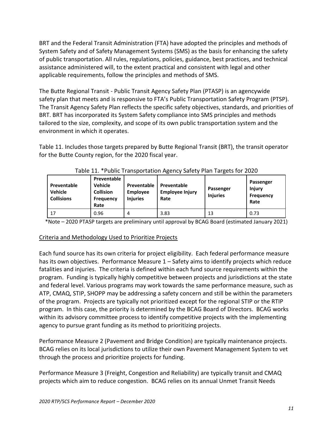BRT and the Federal Transit Administration (FTA) have adopted the principles and methods of System Safety and of Safety Management Systems (SMS) as the basis for enhancing the safety of public transportation. All rules, regulations, policies, guidance, best practices, and technical assistance administered will, to the extent practical and consistent with legal and other applicable requirements, follow the principles and methods of SMS.

The Butte Regional Transit - Public Transit Agency Safety Plan (PTASP) is an agencywide safety plan that meets and is responsive to FTA's Public Transportation Safety Program (PTSP). The Transit Agency Safety Plan reflects the specific safety objectives, standards, and priorities of BRT. BRT has incorporated its System Safety compliance into SMS principles and methods tailored to the size, complexity, and scope of its own public transportation system and the environment in which it operates.

Table 11. Includes those targets prepared by Butte Regional Transit (BRT), the transit operator for the Butte County region, for the 2020 fiscal year.

| Preventable<br><b>Vehicle</b><br><b>Collisions</b> | Preventable<br><b>Vehicle</b><br><b>Collision</b><br><b>Frequency</b><br>Rate | Preventable<br><b>Employee</b><br><b>Injuries</b> | Preventable<br><b>Employee Injury</b><br>Rate | Passenger<br><b>Injuries</b> | Passenger<br><b>Injury</b><br><b>Frequency</b><br>Rate |
|----------------------------------------------------|-------------------------------------------------------------------------------|---------------------------------------------------|-----------------------------------------------|------------------------------|--------------------------------------------------------|
| 17                                                 | 0.96                                                                          | 4                                                 | 3.83                                          | 13                           | 0.73                                                   |

| Table 11. *Public Transportation Agency Safety Plan Targets for 2020 |  |  |  |  |
|----------------------------------------------------------------------|--|--|--|--|
|----------------------------------------------------------------------|--|--|--|--|

\*Note – 2020 PTASP targets are preliminary until approval by BCAG Board (estimated January 2021)

#### Criteria and Methodology Used to Prioritize Projects

Each fund source has its own criteria for project eligibility. Each federal performance measure has its own objectives. Performance Measure 1 – Safety aims to identify projects which reduce fatalities and injuries. The criteria is defined within each fund source requirements within the program. Funding is typically highly competitive between projects and jurisdictions at the state and federal level. Various programs may work towards the same performance measure, such as ATP, CMAQ, STIP, SHOPP may be addressing a safety concern and still be within the parameters of the program. Projects are typically not prioritized except for the regional STIP or the RTIP program. In this case, the priority is determined by the BCAG Board of Directors. BCAG works within its advisory committee process to identify competitive projects with the implementing agency to pursue grant funding as its method to prioritizing projects.

Performance Measure 2 (Pavement and Bridge Condition) are typically maintenance projects. BCAG relies on its local jurisdictions to utilize their own Pavement Management System to vet through the process and prioritize projects for funding.

Performance Measure 3 (Freight, Congestion and Reliability) are typically transit and CMAQ projects which aim to reduce congestion. BCAG relies on its annual Unmet Transit Needs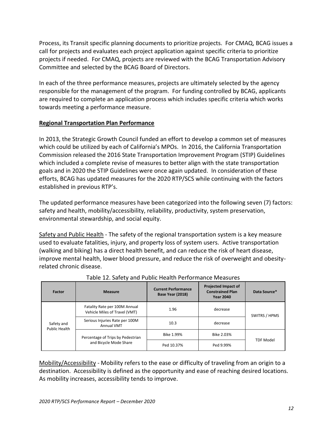Process, its Transit specific planning documents to prioritize projects. For CMAQ, BCAG issues a call for projects and evaluates each project application against specific criteria to prioritize projects if needed. For CMAQ, projects are reviewed with the BCAG Transportation Advisory Committee and selected by the BCAG Board of Directors.

In each of the three performance measures, projects are ultimately selected by the agency responsible for the management of the program. For funding controlled by BCAG, applicants are required to complete an application process which includes specific criteria which works towards meeting a performance measure.

## **Regional Transportation Plan Performance**

In 2013, the Strategic Growth Council funded an effort to develop a common set of measures which could be utilized by each of California's MPOs. In 2016, the California Transportation Commission released the 2016 State Transportation Improvement Program (STIP) Guidelines which included a complete revise of measures to better align with the state transportation goals and in 2020 the STIP Guidelines were once again updated. In consideration of these efforts, BCAG has updated measures for the 2020 RTP/SCS while continuing with the factors established in previous RTP's.

The updated performance measures have been categorized into the following seven (7) factors: safety and health, mobility/accessibility, reliability, productivity, system preservation, environmental stewardship, and social equity.

Safety and Public Health - The safety of the regional transportation system is a key measure used to evaluate fatalities, injury, and property loss of system users. Active transportation (walking and biking) has a direct health benefit, and can reduce the risk of heart disease, improve mental health, lower blood pressure, and reduce the risk of overweight and obesityrelated chronic disease.

| Factor                      | <b>Measure</b>                                                 | <b>Current Performance</b><br>Base Year (2018) | <b>Projected Impact of</b><br><b>Constrained Plan</b><br><b>Year 2040</b> | Data Source*     |
|-----------------------------|----------------------------------------------------------------|------------------------------------------------|---------------------------------------------------------------------------|------------------|
| Safety and<br>Public Health | Fatality Rate per 100M Annual<br>Vehicle Miles of Travel (VMT) | 1.96                                           | decrease                                                                  | SWITRS / HPMS    |
|                             | Serious Injuries Rate per 100M<br>Annual VMT                   | 10.3                                           | decrease                                                                  |                  |
|                             | Percentage of Trips by Pedestrian                              | Bike 1.99%                                     | Bike 2.03%                                                                |                  |
|                             | and Bicycle Mode Share                                         | Ped 10.37%                                     | Ped 9.99%                                                                 | <b>TDF Model</b> |

## Table 12. Safety and Public Health Performance Measures

Mobility/Accessibility - Mobility refers to the ease or difficulty of traveling from an origin to a destination. Accessibility is defined as the opportunity and ease of reaching desired locations. As mobility increases, accessibility tends to improve.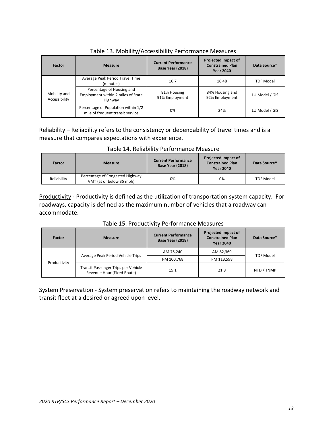| Factor                        | <b>Measure</b>                                                             | <b>Current Performance</b><br><b>Base Year (2018)</b> | <b>Projected Impact of</b><br><b>Constrained Plan</b><br><b>Year 2040</b> | Data Source*     |
|-------------------------------|----------------------------------------------------------------------------|-------------------------------------------------------|---------------------------------------------------------------------------|------------------|
| Mobility and<br>Accessibility | Average Peak Period Travel Time<br>(minutes)                               | 16.7                                                  | 16.48                                                                     | <b>TDF Model</b> |
|                               | Percentage of Housing and<br>Employment within 2 miles of State<br>Highway | 81% Housing<br>91% Employment                         | 84% Housing and<br>92% Employment                                         | LU Model / GIS   |
|                               | Percentage of Population within 1/2<br>mile of frequent transit service    | 0%                                                    | 24%                                                                       | LU Model / GIS   |

Table 13. Mobility/Accessibility Performance Measures

Reliability – Reliability refers to the consistency or dependability of travel times and is a measure that compares expectations with experience.

| <b>Factor</b> | <b>Measure</b>                                              | <b>Current Performance</b><br>Base Year (2018) | <b>Projected Impact of</b><br><b>Constrained Plan</b><br><b>Year 2040</b> | Data Source*     |
|---------------|-------------------------------------------------------------|------------------------------------------------|---------------------------------------------------------------------------|------------------|
| Reliability   | Percentage of Congested Highway<br>VMT (at or below 35 mph) | 0%                                             | 0%                                                                        | <b>TDF Model</b> |

Productivity - Productivity is defined as the utilization of transportation system capacity. For roadways, capacity is defined as the maximum number of vehicles that a roadway can accommodate.

| Factor       | <b>Measure</b>                                                    | <b>Current Performance</b><br>Base Year (2018) | <b>Projected Impact of</b><br><b>Constrained Plan</b><br><b>Year 2040</b> | Data Source*     |
|--------------|-------------------------------------------------------------------|------------------------------------------------|---------------------------------------------------------------------------|------------------|
| Productivity | Average Peak Period Vehicle Trips                                 | AM 75,240                                      | AM 82,369                                                                 | <b>TDF Model</b> |
|              |                                                                   | PM 100,768                                     | PM 113,598                                                                |                  |
|              | Transit Passenger Trips per Vehicle<br>Revenue Hour (Fixed Route) | 15.1                                           | 21.8                                                                      | NTD / TNMP       |

#### Table 15. Productivity Performance Measures

System Preservation - System preservation refers to maintaining the roadway network and transit fleet at a desired or agreed upon level.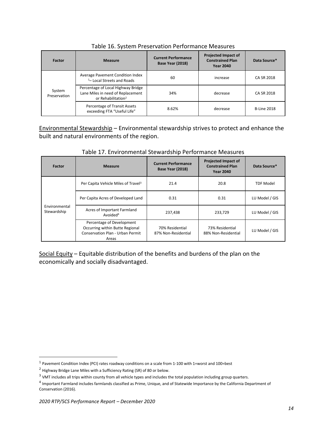| Factor                 | <b>Measure</b>                                                                                            | <b>Current Performance</b><br>Base Year (2018) | <b>Projected Impact of</b><br><b>Constrained Plan</b><br><b>Year 2040</b> | Data Source*       |
|------------------------|-----------------------------------------------------------------------------------------------------------|------------------------------------------------|---------------------------------------------------------------------------|--------------------|
| System<br>Preservation | Average Pavement Condition Index<br><sup>1</sup> -Local Streets and Roads                                 | 60                                             | increase                                                                  | CA SR 2018         |
|                        | Percentage of Local Highway Bridge<br>Lane Miles in need of Replacement<br>or Rehabilitation <sup>2</sup> | 34%                                            | decrease                                                                  | CA SR 2018         |
|                        | Percentage of Transit Assets<br>exceeding FTA "Useful Life"                                               | 8.62%                                          | decrease                                                                  | <b>B-Line 2018</b> |

Table 16. System Preservation Performance Measures

Environmental Stewardship – Environmental stewardship strives to protect and enhance the built and natural environments of the region.

| Factor                       | <b>Measure</b>                                                                                            | <b>Current Performance</b><br><b>Base Year (2018)</b> | <b>Projected Impact of</b><br><b>Constrained Plan</b><br><b>Year 2040</b> | Data Source*     |
|------------------------------|-----------------------------------------------------------------------------------------------------------|-------------------------------------------------------|---------------------------------------------------------------------------|------------------|
| Environmental<br>Stewardship | Per Capita Vehicle Miles of Travel <sup>3</sup>                                                           | 21.4                                                  | 20.8                                                                      | <b>TDF Model</b> |
|                              | Per Capita Acres of Developed Land                                                                        | 0.31                                                  | 0.31                                                                      | LU Model / GIS   |
|                              | Acres of Important Farmland<br>Avoided <sup>4</sup>                                                       | 237,438                                               | 233,729                                                                   | LU Model / GIS   |
|                              | Percentage of Development<br>Occurring within Butte Regional<br>Conservation Plan - Urban Permit<br>Areas | 70% Residential<br>87% Non-Residential                | 73% Residential<br>88% Non-Residential                                    | LU Model / GIS   |

#### Table 17. Environmental Stewardship Performance Measures

Social Equity – Equitable distribution of the benefits and burdens of the plan on the economically and socially disadvantaged.

 $^1$  Pavement Condition Index (PCI) rates roadway conditions on a scale from 1-100 with 1=worst and 100=best

<sup>&</sup>lt;sup>2</sup> Highway Bridge Lane Miles with a Sufficiency Rating (SR) of 80 or below.

 $3$  VMT includes all trips within county from all vehicle types and includes the total population including group quarters.

<sup>&</sup>lt;sup>4</sup> Important Farmland includes farmlands classified as Prime, Unique, and of Statewide Importance by the California Department of Conservation (2016).